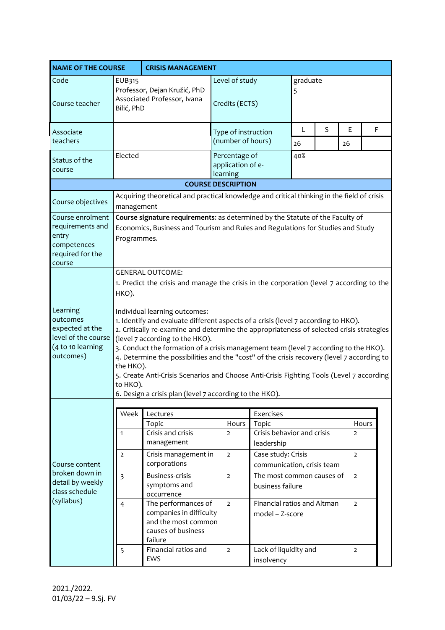| <b>NAME OF THE COURSE</b>                                                                        |                                                                                                                                                                                                                                                                                                                                                                                                                                                                                                                                                                                                                                                                                                                                                          | <b>CRISIS MANAGEMENT</b>                                                                               |                                                |                                                   |                            |   |                |       |
|--------------------------------------------------------------------------------------------------|----------------------------------------------------------------------------------------------------------------------------------------------------------------------------------------------------------------------------------------------------------------------------------------------------------------------------------------------------------------------------------------------------------------------------------------------------------------------------------------------------------------------------------------------------------------------------------------------------------------------------------------------------------------------------------------------------------------------------------------------------------|--------------------------------------------------------------------------------------------------------|------------------------------------------------|---------------------------------------------------|----------------------------|---|----------------|-------|
| Code                                                                                             | EUB315                                                                                                                                                                                                                                                                                                                                                                                                                                                                                                                                                                                                                                                                                                                                                   |                                                                                                        | Level of study<br>graduate                     |                                                   |                            |   |                |       |
| Course teacher                                                                                   | Bilić, PhD                                                                                                                                                                                                                                                                                                                                                                                                                                                                                                                                                                                                                                                                                                                                               | Professor, Dejan Kružić, PhD<br>Associated Professor, Ivana                                            | 5<br>Credits (ECTS)                            |                                                   |                            |   |                |       |
| Associate<br>teachers                                                                            |                                                                                                                                                                                                                                                                                                                                                                                                                                                                                                                                                                                                                                                                                                                                                          |                                                                                                        |                                                | Type of instruction<br>(number of hours)          |                            | S | E<br>26        | F     |
| Status of the<br>course                                                                          | Elected                                                                                                                                                                                                                                                                                                                                                                                                                                                                                                                                                                                                                                                                                                                                                  |                                                                                                        | Percentage of<br>application of e-<br>learning |                                                   | 26<br>40%                  |   |                |       |
| <b>COURSE DESCRIPTION</b>                                                                        |                                                                                                                                                                                                                                                                                                                                                                                                                                                                                                                                                                                                                                                                                                                                                          |                                                                                                        |                                                |                                                   |                            |   |                |       |
| Course objectives                                                                                | Acquiring theoretical and practical knowledge and critical thinking in the field of crisis<br>management                                                                                                                                                                                                                                                                                                                                                                                                                                                                                                                                                                                                                                                 |                                                                                                        |                                                |                                                   |                            |   |                |       |
| Course enrolment<br>requirements and<br>entry<br>competences<br>required for the<br>course       | Course signature requirements: as determined by the Statute of the Faculty of<br>Economics, Business and Tourism and Rules and Regulations for Studies and Study<br>Programmes.                                                                                                                                                                                                                                                                                                                                                                                                                                                                                                                                                                          |                                                                                                        |                                                |                                                   |                            |   |                |       |
| Learning<br>outcomes<br>expected at the<br>level of the course<br>(4 to 10 learning<br>outcomes) | <b>GENERAL OUTCOME:</b><br>1. Predict the crisis and manage the crisis in the corporation (level 7 according to the<br>HKO).<br>Individual learning outcomes:<br>1. Identify and evaluate different aspects of a crisis (level 7 according to HKO).<br>2. Critically re-examine and determine the appropriateness of selected crisis strategies<br>(level 7 according to the HKO).<br>3. Conduct the formation of a crisis management team (level 7 according to the HKO).<br>4. Determine the possibilities and the "cost" of the crisis recovery (level 7 according to<br>the HKO).<br>5. Create Anti-Crisis Scenarios and Choose Anti-Crisis Fighting Tools (Level 7 according<br>to HKO).<br>6. Design a crisis plan (level 7 according to the HKO). |                                                                                                        |                                                |                                                   |                            |   |                |       |
|                                                                                                  |                                                                                                                                                                                                                                                                                                                                                                                                                                                                                                                                                                                                                                                                                                                                                          |                                                                                                        |                                                |                                                   |                            |   |                |       |
|                                                                                                  | Week                                                                                                                                                                                                                                                                                                                                                                                                                                                                                                                                                                                                                                                                                                                                                     | Lectures                                                                                               |                                                | Exercises                                         |                            |   |                |       |
| Course content<br>broken down in<br>detail by weekly<br>class schedule<br>(syllabus)             | $\mathbf{1}$                                                                                                                                                                                                                                                                                                                                                                                                                                                                                                                                                                                                                                                                                                                                             | Topic<br>Crisis and crisis<br>management                                                               | Hours<br>$\overline{2}$                        | Topic<br>Crisis behavior and crisis<br>leadership |                            |   | $\overline{2}$ | Hours |
|                                                                                                  | $\overline{2}$                                                                                                                                                                                                                                                                                                                                                                                                                                                                                                                                                                                                                                                                                                                                           | Crisis management in<br>corporations                                                                   | $\overline{2}$                                 | Case study: Crisis                                | communication, crisis team |   |                |       |
|                                                                                                  | $\overline{3}$                                                                                                                                                                                                                                                                                                                                                                                                                                                                                                                                                                                                                                                                                                                                           | <b>Business-crisis</b><br>symptoms and<br>occurrence                                                   | $\overline{2}$                                 | The most common causes of<br>business failure     |                            |   | $\overline{2}$ |       |
|                                                                                                  | 4                                                                                                                                                                                                                                                                                                                                                                                                                                                                                                                                                                                                                                                                                                                                                        | The performances of<br>companies in difficulty<br>and the most common<br>causes of business<br>failure | $\overline{2}$                                 | Financial ratios and Altman<br>model - Z-score    |                            |   | $\overline{2}$ |       |
|                                                                                                  | 5                                                                                                                                                                                                                                                                                                                                                                                                                                                                                                                                                                                                                                                                                                                                                        | Financial ratios and<br><b>EWS</b>                                                                     | $\overline{2}$                                 | Lack of liquidity and<br>insolvency               |                            |   | $\overline{2}$ |       |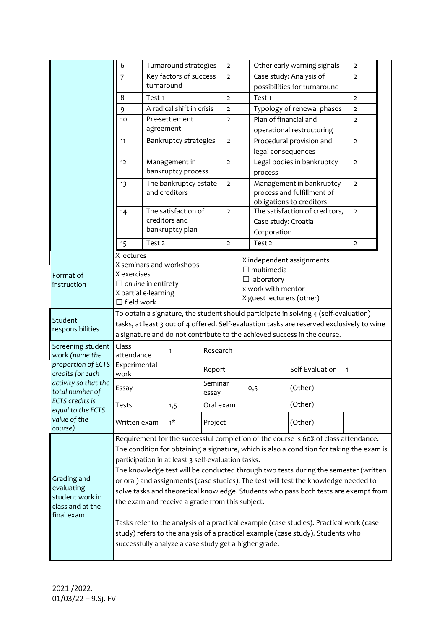|                                    | 6                                                                        | Turnaround strategies                                                                      |                                                       |                  | $\overline{2}$             | Other early warning signals |                                                  |                                                                                           | $\overline{2}$ |  |  |  |
|------------------------------------|--------------------------------------------------------------------------|--------------------------------------------------------------------------------------------|-------------------------------------------------------|------------------|----------------------------|-----------------------------|--------------------------------------------------|-------------------------------------------------------------------------------------------|----------------|--|--|--|
|                                    | Key factors of success<br>$\overline{7}$                                 |                                                                                            |                                                       | $\overline{2}$   |                            | Case study: Analysis of     |                                                  | $\overline{2}$                                                                            |                |  |  |  |
|                                    | turnaround                                                               |                                                                                            |                                                       |                  |                            |                             | possibilities for turnaround                     |                                                                                           |                |  |  |  |
|                                    | 8                                                                        | Test <sub>1</sub>                                                                          |                                                       |                  | $\overline{2}$             |                             | Test <sub>1</sub>                                |                                                                                           | $\overline{2}$ |  |  |  |
|                                    | A radical shift in crisis<br>9                                           |                                                                                            |                                                       | $\overline{2}$   | Typology of renewal phases |                             | $\overline{2}$                                   |                                                                                           |                |  |  |  |
|                                    | 10                                                                       | Pre-settlement                                                                             |                                                       | $\overline{2}$   |                            | Plan of financial and       |                                                  | $\overline{2}$                                                                            |                |  |  |  |
|                                    |                                                                          | agreement<br>Bankruptcy strategies<br>11                                                   |                                                       |                  |                            |                             | operational restructuring                        |                                                                                           |                |  |  |  |
|                                    |                                                                          |                                                                                            |                                                       |                  | $\overline{2}$             |                             | Procedural provision and                         | $\overline{2}$                                                                            |                |  |  |  |
|                                    |                                                                          |                                                                                            |                                                       |                  |                            |                             | legal consequences                               |                                                                                           |                |  |  |  |
|                                    | 12                                                                       | Management in<br>bankruptcy process                                                        |                                                       |                  | $\overline{2}$             |                             | Legal bodies in bankruptcy                       | $\overline{2}$                                                                            |                |  |  |  |
|                                    |                                                                          |                                                                                            |                                                       |                  |                            |                             | process                                          |                                                                                           |                |  |  |  |
|                                    | 13                                                                       |                                                                                            | The bankruptcy estate                                 |                  |                            |                             | Management in bankruptcy                         | $\overline{2}$                                                                            |                |  |  |  |
|                                    | 14                                                                       |                                                                                            | and creditors                                         |                  |                            |                             | process and fulfillment of                       |                                                                                           |                |  |  |  |
|                                    |                                                                          |                                                                                            |                                                       |                  |                            |                             | obligations to creditors                         |                                                                                           |                |  |  |  |
|                                    |                                                                          |                                                                                            | The satisfaction of                                   |                  |                            |                             | The satisfaction of creditors,<br>$\overline{2}$ |                                                                                           |                |  |  |  |
|                                    |                                                                          |                                                                                            | creditors and<br>bankruptcy plan                      |                  |                            |                             | Case study: Croatia                              |                                                                                           |                |  |  |  |
|                                    |                                                                          |                                                                                            |                                                       |                  |                            |                             | Corporation                                      |                                                                                           |                |  |  |  |
|                                    | 15                                                                       | Test <sub>2</sub>                                                                          |                                                       |                  | $\overline{2}$             |                             | Test 2                                           |                                                                                           | $\overline{2}$ |  |  |  |
|                                    | X lectures                                                               |                                                                                            |                                                       |                  |                            |                             |                                                  | X independent assignments                                                                 |                |  |  |  |
|                                    | X seminars and workshops                                                 |                                                                                            |                                                       |                  |                            |                             | $\Box$ multimedia                                |                                                                                           |                |  |  |  |
| Format of                          | X exercises<br>$\Box$ on line in entirety                                |                                                                                            |                                                       |                  |                            |                             | $\Box$ laboratory                                |                                                                                           |                |  |  |  |
| instruction                        | X partial e-learning                                                     |                                                                                            |                                                       |                  |                            |                             | x work with mentor                               |                                                                                           |                |  |  |  |
|                                    | $\Box$ field work                                                        |                                                                                            |                                                       |                  |                            |                             | X guest lecturers (other)                        |                                                                                           |                |  |  |  |
|                                    |                                                                          | To obtain a signature, the student should participate in solving 4 (self-evaluation)       |                                                       |                  |                            |                             |                                                  |                                                                                           |                |  |  |  |
| Student                            |                                                                          | tasks, at least 3 out of 4 offered. Self-evaluation tasks are reserved exclusively to wine |                                                       |                  |                            |                             |                                                  |                                                                                           |                |  |  |  |
| responsibilities                   | a signature and do not contribute to the achieved success in the course. |                                                                                            |                                                       |                  |                            |                             |                                                  |                                                                                           |                |  |  |  |
|                                    |                                                                          |                                                                                            |                                                       |                  |                            |                             |                                                  |                                                                                           |                |  |  |  |
| Screening student                  | Class                                                                    |                                                                                            |                                                       |                  |                            |                             |                                                  |                                                                                           |                |  |  |  |
| work (name the                     | attendance                                                               |                                                                                            | 1                                                     | Research         |                            |                             |                                                  |                                                                                           |                |  |  |  |
| proportion of ECTS                 | Experimental                                                             |                                                                                            |                                                       |                  |                            |                             |                                                  | Self-Evaluation                                                                           | 1              |  |  |  |
| credits for each                   | work                                                                     |                                                                                            |                                                       | Report           |                            |                             |                                                  |                                                                                           |                |  |  |  |
| activity so that the               | Essay                                                                    |                                                                                            |                                                       | Seminar<br>essav |                            |                             | 0,5                                              | (Other)                                                                                   |                |  |  |  |
| total number of<br>ECTS credits is | Tests                                                                    |                                                                                            | 1,5                                                   | Oral exam        |                            |                             |                                                  | (Other)                                                                                   |                |  |  |  |
| equal to the ECTS                  |                                                                          |                                                                                            |                                                       |                  |                            |                             |                                                  |                                                                                           |                |  |  |  |
| value of the<br>course)            | Written exam                                                             |                                                                                            | $1*$                                                  | Project          |                            |                             |                                                  | (Other)                                                                                   |                |  |  |  |
|                                    |                                                                          |                                                                                            |                                                       |                  |                            |                             |                                                  | Requirement for the successful completion of the course is 60% of class attendance.       |                |  |  |  |
|                                    |                                                                          |                                                                                            |                                                       |                  |                            |                             |                                                  | The condition for obtaining a signature, which is also a condition for taking the exam is |                |  |  |  |
|                                    |                                                                          |                                                                                            | participation in at least 3 self-evaluation tasks.    |                  |                            |                             |                                                  |                                                                                           |                |  |  |  |
|                                    |                                                                          |                                                                                            |                                                       |                  |                            |                             |                                                  | The knowledge test will be conducted through two tests during the semester (written       |                |  |  |  |
| Grading and                        |                                                                          |                                                                                            |                                                       |                  |                            |                             |                                                  | or oral) and assignments (case studies). The test will test the knowledge needed to       |                |  |  |  |
| evaluating                         |                                                                          |                                                                                            |                                                       |                  |                            |                             |                                                  | solve tasks and theoretical knowledge. Students who pass both tests are exempt from       |                |  |  |  |
| student work in                    |                                                                          |                                                                                            | the exam and receive a grade from this subject.       |                  |                            |                             |                                                  |                                                                                           |                |  |  |  |
| class and at the<br>final exam     |                                                                          |                                                                                            |                                                       |                  |                            |                             |                                                  |                                                                                           |                |  |  |  |
|                                    |                                                                          |                                                                                            |                                                       |                  |                            |                             |                                                  | Tasks refer to the analysis of a practical example (case studies). Practical work (case   |                |  |  |  |
|                                    |                                                                          |                                                                                            |                                                       |                  |                            |                             |                                                  | study) refers to the analysis of a practical example (case study). Students who           |                |  |  |  |
|                                    |                                                                          |                                                                                            | successfully analyze a case study get a higher grade. |                  |                            |                             |                                                  |                                                                                           |                |  |  |  |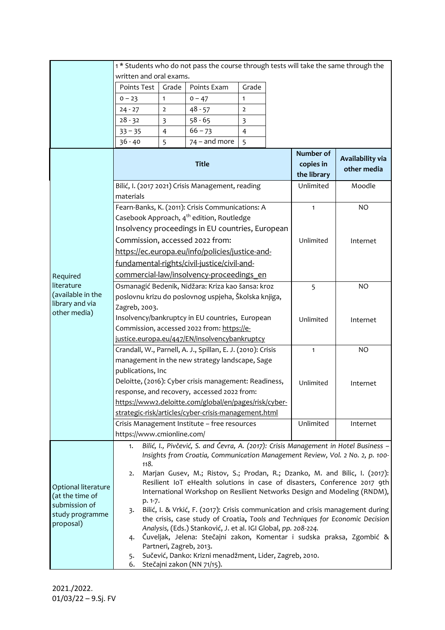|                                        | 1* Students who do not pass the course through tests will take the same through the<br>written and oral exams.                                                             |                |                                                                                    |                                 |           |          |  |  |
|----------------------------------------|----------------------------------------------------------------------------------------------------------------------------------------------------------------------------|----------------|------------------------------------------------------------------------------------|---------------------------------|-----------|----------|--|--|
|                                        | Points Test                                                                                                                                                                | Grade          | Points Exam                                                                        | Grade                           |           |          |  |  |
|                                        | $0 - 23$                                                                                                                                                                   | $\mathbf{1}$   | $0 - 47$                                                                           | $\mathbf{1}$                    |           |          |  |  |
|                                        | $24 - 27$                                                                                                                                                                  | $\overline{2}$ | $48 - 57$                                                                          | $\overline{2}$                  |           |          |  |  |
|                                        | $28 - 32$                                                                                                                                                                  | 3              | $58 - 65$                                                                          | 3                               |           |          |  |  |
|                                        | $33 - 35$                                                                                                                                                                  | $\overline{4}$ | $66 - 73$                                                                          | $\overline{4}$                  |           |          |  |  |
|                                        | $36 - 40$                                                                                                                                                                  | 5              | $74$ – and more                                                                    | 5                               |           |          |  |  |
|                                        |                                                                                                                                                                            |                | Number of<br>copies in<br>the library                                              | Availability via<br>other media |           |          |  |  |
|                                        | Bilić, I. (2017 2021) Crisis Management, reading<br>materials                                                                                                              |                | Unlimited                                                                          | Moodle                          |           |          |  |  |
|                                        | Fearn-Banks, K. (2011): Crisis Communications: A<br>Casebook Approach, 4 <sup>th</sup> edition, Routledge                                                                  |                | $\mathbf{1}$                                                                       | <b>NO</b>                       |           |          |  |  |
|                                        | Insolvency proceedings in EU countries, European                                                                                                                           |                |                                                                                    |                                 |           |          |  |  |
|                                        |                                                                                                                                                                            |                | Commission, accessed 2022 from:<br>https://ec.europa.eu/info/policies/justice-and- |                                 | Unlimited | Internet |  |  |
|                                        | fundamental-rights/civil-justice/civil-and-                                                                                                                                |                |                                                                                    |                                 |           |          |  |  |
| Required                               | commercial-law/insolvency-proceedings en                                                                                                                                   |                |                                                                                    |                                 |           |          |  |  |
| literature                             | Osmanagić Bedenik, Nidžara: Kriza kao šansa: kroz                                                                                                                          |                | 5                                                                                  | NO                              |           |          |  |  |
| (available in the                      | poslovnu krizu do poslovnog uspjeha, Školska knjiga,                                                                                                                       |                |                                                                                    |                                 |           |          |  |  |
| library and via<br>other media)        | Zagreb, 2003.                                                                                                                                                              |                |                                                                                    |                                 |           |          |  |  |
|                                        | Insolvency/bankruptcy in EU countries, European                                                                                                                            |                | Unlimited                                                                          | Internet                        |           |          |  |  |
|                                        | Commission, accessed 2022 from: https://e-<br>justice.europa.eu/447/EN/insolvencybankruptcy                                                                                |                |                                                                                    |                                 |           |          |  |  |
|                                        |                                                                                                                                                                            |                |                                                                                    |                                 |           |          |  |  |
|                                        | Crandall, W., Parnell, A. J., Spillan, E. J. (2010): Crisis                                                                                                                |                | $\mathbf{1}$                                                                       | <b>NO</b>                       |           |          |  |  |
|                                        | management in the new strategy landscape, Sage                                                                                                                             |                |                                                                                    |                                 |           |          |  |  |
|                                        | publications, Inc<br>Deloitte, (2016): Cyber crisis management: Readiness,                                                                                                 |                |                                                                                    |                                 |           |          |  |  |
|                                        | response, and recovery, accessed 2022 from:                                                                                                                                |                | Unlimited                                                                          | Internet                        |           |          |  |  |
|                                        | https://www2.deloitte.com/global/en/pages/risk/cyber-                                                                                                                      |                |                                                                                    |                                 |           |          |  |  |
|                                        | strategic-risk/articles/cyber-crisis-management.html                                                                                                                       |                |                                                                                    |                                 |           |          |  |  |
|                                        | Crisis Management Institute - free resources                                                                                                                               |                | Unlimited                                                                          | Internet                        |           |          |  |  |
|                                        | https://www.cmionline.com/                                                                                                                                                 |                |                                                                                    |                                 |           |          |  |  |
| Optional literature<br>(at the time of | Bilić, I., Pivčević, S. and Čevra, A. (2017): Crisis Management in Hotel Business -<br>1.<br>Insights from Croatia, Communication Management Review, Vol. 2 No. 2, p. 100- |                |                                                                                    |                                 |           |          |  |  |
|                                        | 118.                                                                                                                                                                       |                |                                                                                    |                                 |           |          |  |  |
|                                        | Marjan Gusev, M.; Ristov, S.; Prodan, R.; Dzanko, M. and Bilic, I. (2017):<br>2.                                                                                           |                |                                                                                    |                                 |           |          |  |  |
|                                        | Resilient IoT eHealth solutions in case of disasters, Conference 2017 9th                                                                                                  |                |                                                                                    |                                 |           |          |  |  |
|                                        | International Workshop on Resilient Networks Design and Modeling (RNDM),<br>p. 1-7.                                                                                        |                |                                                                                    |                                 |           |          |  |  |
| submission of                          | Bilić, I. & Vrkić, F. (2017): Crisis communication and crisis management during<br>3.                                                                                      |                |                                                                                    |                                 |           |          |  |  |
| study programme<br>proposal)           | the crisis, case study of Croatia, Tools and Techniques for Economic Decision                                                                                              |                |                                                                                    |                                 |           |          |  |  |
|                                        | Analysis, (Eds.) Stanković, J. et al. IGI Global, pp. 208-224.                                                                                                             |                |                                                                                    |                                 |           |          |  |  |
|                                        | Čuveljak, Jelena: Stečajni zakon, Komentar i sudska praksa, Zgombić &<br>4.                                                                                                |                |                                                                                    |                                 |           |          |  |  |
|                                        | Partneri, Zagreb, 2013.<br>Sučević, Danko: Krizni menadžment, Lider, Zagreb, 2010.<br>5.                                                                                   |                |                                                                                    |                                 |           |          |  |  |
|                                        | Stečajni zakon (NN 71/15).<br>6.                                                                                                                                           |                |                                                                                    |                                 |           |          |  |  |